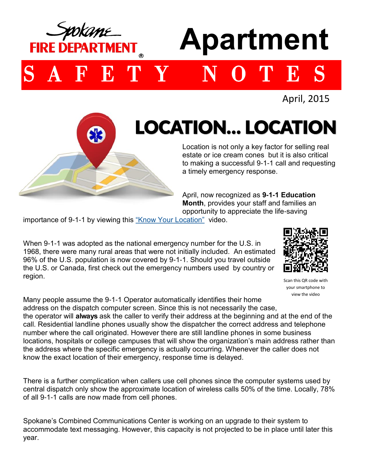

## **Apartment**

SAFETY NOTES

April, 2015

## LOCATION… LOCATION

Location is not only a key factor for selling real estate or ice cream cones but it is also critical to making a successful 9-1-1 call and requesting a timely emergency response.

April, now recognized as **9-1-1 Education Month**, provides your staff and families an opportunity to appreciate the life-saving

importance of 9-1-1 by viewing this ["Know Your Location"](http://www.spokanecounty.org/video/vod.aspx?v=911/911_knowyourlocationwithtext.flv&deptid=81) video.

When 9-1-1 was adopted as the national emergency number for the U.S. in 1968, there were many rural areas that were not initially included. An estimated 96% of the U.S. population is now covered by 9-1-1. Should you travel outside the U.S. or Canada, first check out the emergency numbers used by country or region.



Scan this QR code with your smartphone to view the video

Many people assume the 9-1-1 Operator automatically identifies their home address on the dispatch computer screen. Since this is not necessarily the case, the operator will **always** ask the caller to verify their address at the beginning and at the end of the call. Residential landline phones usually show the dispatcher the correct address and telephone number where the call originated. However there are still landline phones in some business locations, hospitals or college campuses that will show the organization's main address rather than the address where the specific emergency is actually occurring. Whenever the caller does not know the exact location of their emergency, response time is delayed.

There is a further complication when callers use cell phones since the computer systems used by central dispatch only show the approximate location of wireless calls 50% of the time. Locally, 78% of all 9-1-1 calls are now made from cell phones.

Spokane's Combined Communications Center is working on an upgrade to their system to accommodate text messaging. However, this capacity is not projected to be in place until later this year.